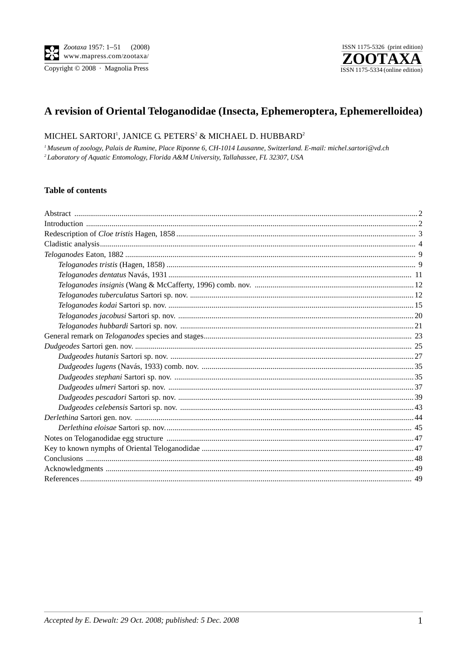Copyright © 2008 · Magnolia Press



# A revision of Oriental Teloganodidae (Insecta, Ephemeroptera, Ephemerelloidea)

## MICHEL SARTORI<sup>1</sup>, JANICE G. PETERS<sup>2</sup> & MICHAEL D. HUBBARD<sup>2</sup>

<sup>1</sup> Museum of zoology, Palais de Rumine, Place Riponne 6, CH-1014 Lausanne, Switzerland. E-mail: michel.sartori@vd.ch <sup>2</sup> Laboratory of Aquatic Entomology, Florida A&M University, Tallahassee, FL 32307, USA

#### **Table of contents**